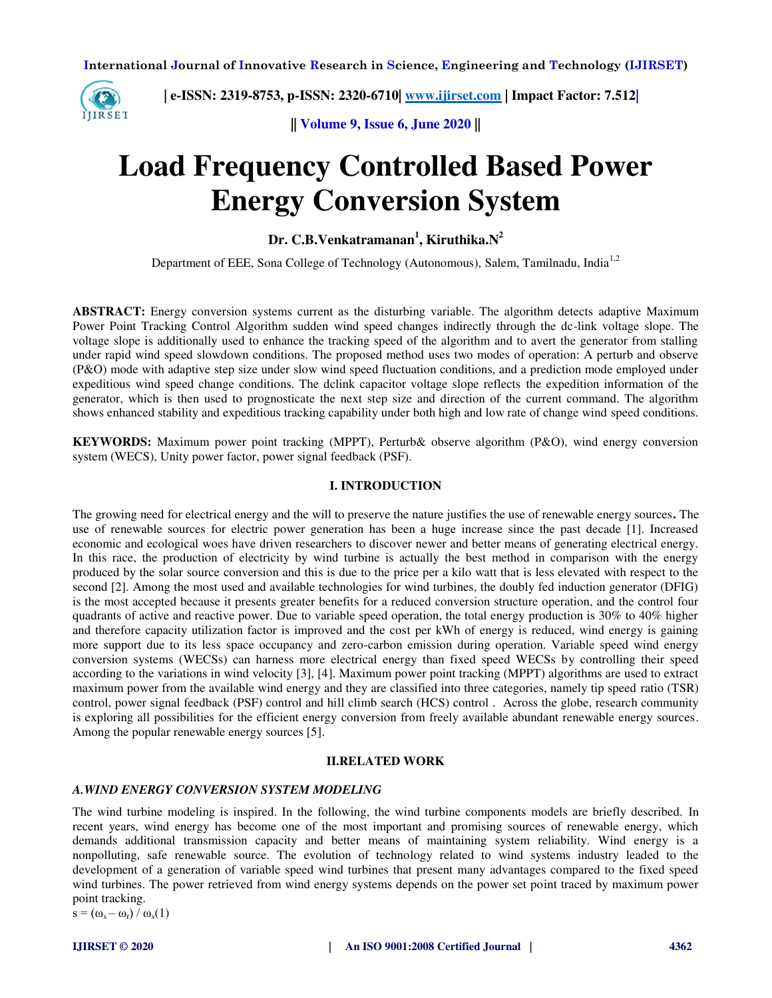

 **| e-ISSN: 2319-8753, p-ISSN: 2320-6710| [www.ijirset.com](http://www.ijirset.com/) | Impact Factor: 7.512|**

**|| Volume 9, Issue 6, June 2020 ||** 

# **Load Frequency Controlled Based Power Energy Conversion System**

**Dr. C.B.Venkatramanan<sup>1</sup> , Kiruthika.N<sup>2</sup>**

Department of EEE, Sona College of Technology (Autonomous), Salem, Tamilnadu, India<sup>1,2</sup>

**ABSTRACT:** Energy conversion systems current as the disturbing variable. The algorithm detects adaptive Maximum Power Point Tracking Control Algorithm sudden wind speed changes indirectly through the dc-link voltage slope. The voltage slope is additionally used to enhance the tracking speed of the algorithm and to avert the generator from stalling under rapid wind speed slowdown conditions. The proposed method uses two modes of operation: A perturb and observe (P&O) mode with adaptive step size under slow wind speed fluctuation conditions, and a prediction mode employed under expeditious wind speed change conditions. The dclink capacitor voltage slope reflects the expedition information of the generator, which is then used to prognosticate the next step size and direction of the current command. The algorithm shows enhanced stability and expeditious tracking capability under both high and low rate of change wind speed conditions.

**KEYWORDS:** Maximum power point tracking (MPPT), Perturb& observe algorithm (P&O), wind energy conversion system (WECS), Unity power factor, power signal feedback (PSF).

#### **I. INTRODUCTION**

The growing need for electrical energy and the will to preserve the nature justifies the use of renewable energy sources**.** The use of renewable sources for electric power generation has been a huge increase since the past decade [1]. Increased economic and ecological woes have driven researchers to discover newer and better means of generating electrical energy. In this race, the production of electricity by wind turbine is actually the best method in comparison with the energy produced by the solar source conversion and this is due to the price per a kilo watt that is less elevated with respect to the second [2]. Among the most used and available technologies for wind turbines, the doubly fed induction generator (DFIG) is the most accepted because it presents greater benefits for a reduced conversion structure operation, and the control four quadrants of active and reactive power. Due to variable speed operation, the total energy production is 30% to 40% higher and therefore capacity utilization factor is improved and the cost per kWh of energy is reduced, wind energy is gaining more support due to its less space occupancy and zero-carbon emission during operation. Variable speed wind energy conversion systems (WECSs) can harness more electrical energy than fixed speed WECSs by controlling their speed according to the variations in wind velocity [3], [4]. Maximum power point tracking (MPPT) algorithms are used to extract maximum power from the available wind energy and they are classified into three categories, namely tip speed ratio (TSR) control, power signal feedback (PSF) control and hill climb search (HCS) control . Across the globe, research community is exploring all possibilities for the efficient energy conversion from freely available abundant renewable energy sources. Among the popular renewable energy sources [5].

#### **II.RELATED WORK**

#### *A.WIND ENERGY CONVERSION SYSTEM MODELING*

The wind turbine modeling is inspired. In the following, the wind turbine components models are briefly described. In recent years, wind energy has become one of the most important and promising sources of renewable energy, which demands additional transmission capacity and better means of maintaining system reliability. Wind energy is a nonpolluting, safe renewable source. The evolution of technology related to wind systems industry leaded to the development of a generation of variable speed wind turbines that present many advantages compared to the fixed speed wind turbines. The power retrieved from wind energy systems depends on the power set point traced by maximum power point tracking.

 $s = (\omega_s - \omega_r) / \omega_s(1)$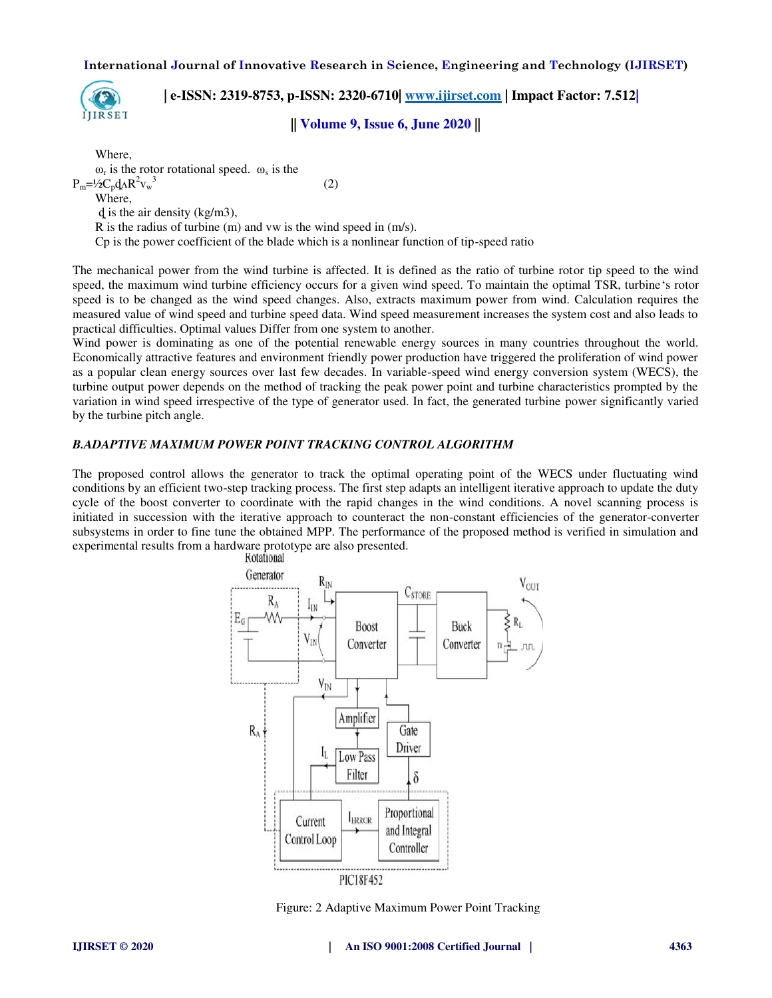

 **| e-ISSN: 2319-8753, p-ISSN: 2320-6710| [www.ijirset.com](http://www.ijirset.com/) | Impact Factor: 7.512|**

**|| Volume 9, Issue 6, June 2020 ||** 

Where,  $\omega_r$  is the rotor rotational speed.  $\omega_s$  is the  $P_m$ =½ $C_p$  $d_A R^2 v_w^3$  (2) Where, ȡ is the air density (kg/m3), R is the radius of turbine (m) and vw is the wind speed in (m/s). Cp is the power coefficient of the blade which is a nonlinear function of tip-speed ratio

The mechanical power from the wind turbine is affected. It is defined as the ratio of turbine rotor tip speed to the wind speed, the maximum wind turbine efficiency occurs for a given wind speed. To maintain the optimal TSR, turbine's rotor speed is to be changed as the wind speed changes. Also, extracts maximum power from wind. Calculation requires the measured value of wind speed and turbine speed data. Wind speed measurement increases the system cost and also leads to practical difficulties. Optimal values Differ from one system to another.

Wind power is dominating as one of the potential renewable energy sources in many countries throughout the world. Economically attractive features and environment friendly power production have triggered the proliferation of wind power as a popular clean energy sources over last few decades. In variable-speed wind energy conversion system (WECS), the turbine output power depends on the method of tracking the peak power point and turbine characteristics prompted by the variation in wind speed irrespective of the type of generator used. In fact, the generated turbine power significantly varied by the turbine pitch angle.

#### *B.ADAPTIVE MAXIMUM POWER POINT TRACKING CONTROL ALGORITHM*

The proposed control allows the generator to track the optimal operating point of the WECS under fluctuating wind conditions by an efficient two-step tracking process. The first step adapts an intelligent iterative approach to update the duty cycle of the boost converter to coordinate with the rapid changes in the wind conditions. A novel scanning process is initiated in succession with the iterative approach to counteract the non-constant efficiencies of the generator-converter subsystems in order to fine tune the obtained MPP. The performance of the proposed method is verified in simulation and experimental results from a hardware prototype are also presented.



Figure: 2 Adaptive Maximum Power Point Tracking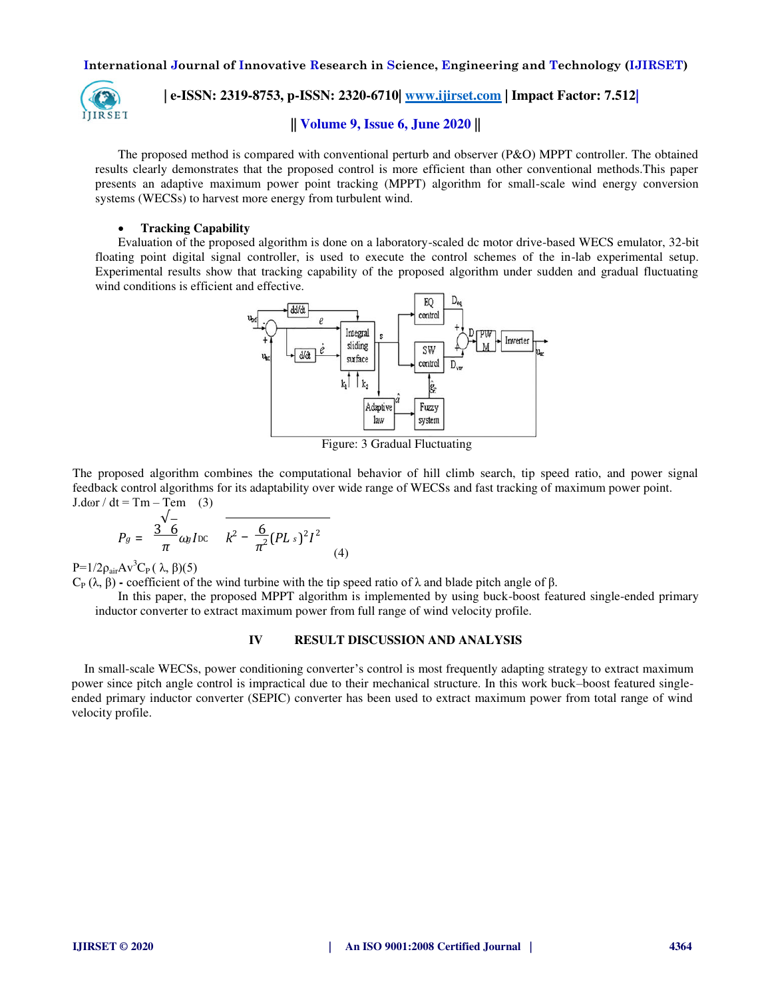

 **| e-ISSN: 2319-8753, p-ISSN: 2320-6710| [www.ijirset.com](http://www.ijirset.com/) | Impact Factor: 7.512|**

### **|| Volume 9, Issue 6, June 2020 ||**

The proposed method is compared with conventional perturb and observer (P&O) MPPT controller. The obtained results clearly demonstrates that the proposed control is more efficient than other conventional methods.This paper presents an adaptive maximum power point tracking (MPPT) algorithm for small-scale wind energy conversion systems (WECSs) to harvest more energy from turbulent wind.

#### **Tracking Capability**

Evaluation of the proposed algorithm is done on a laboratory-scaled dc motor drive-based WECS emulator, 32-bit floating point digital signal controller, is used to execute the control schemes of the in-lab experimental setup. Experimental results show that tracking capability of the proposed algorithm under sudden and gradual fluctuating wind conditions is efficient and effective.



Figure: 3 Gradual Fluctuating

The proposed algorithm combines the computational behavior of hill climb search, tip speed ratio, and power signal feedback control algorithms for its adaptability over wide range of WECSs and fast tracking of maximum power point. J.dor / dt = Tm – Tem (3)

$$
P_g = \frac{3 \overline{6}}{\pi} \omega_b I \csc \overline{k^2 - \frac{6}{\pi^2} (PL \, s)^2 I^2}
$$
 (4)

P=1/2 $\rho_{air}Av^3C_P(\lambda, \beta)(5)$ 

C<sub>P</sub> (λ, β) **-** coefficient of the wind turbine with the tip speed ratio of λ and blade pitch angle of β.

In this paper, the proposed MPPT algorithm is implemented by using buck-boost featured single-ended primary inductor converter to extract maximum power from full range of wind velocity profile.

#### **IV RESULT DISCUSSION AND ANALYSIS**

In small-scale WECSs, power conditioning converter's control is most frequently adapting strategy to extract maximum power since pitch angle control is impractical due to their mechanical structure. In this work buck–boost featured singleended primary inductor converter (SEPIC) converter has been used to extract maximum power from total range of wind velocity profile.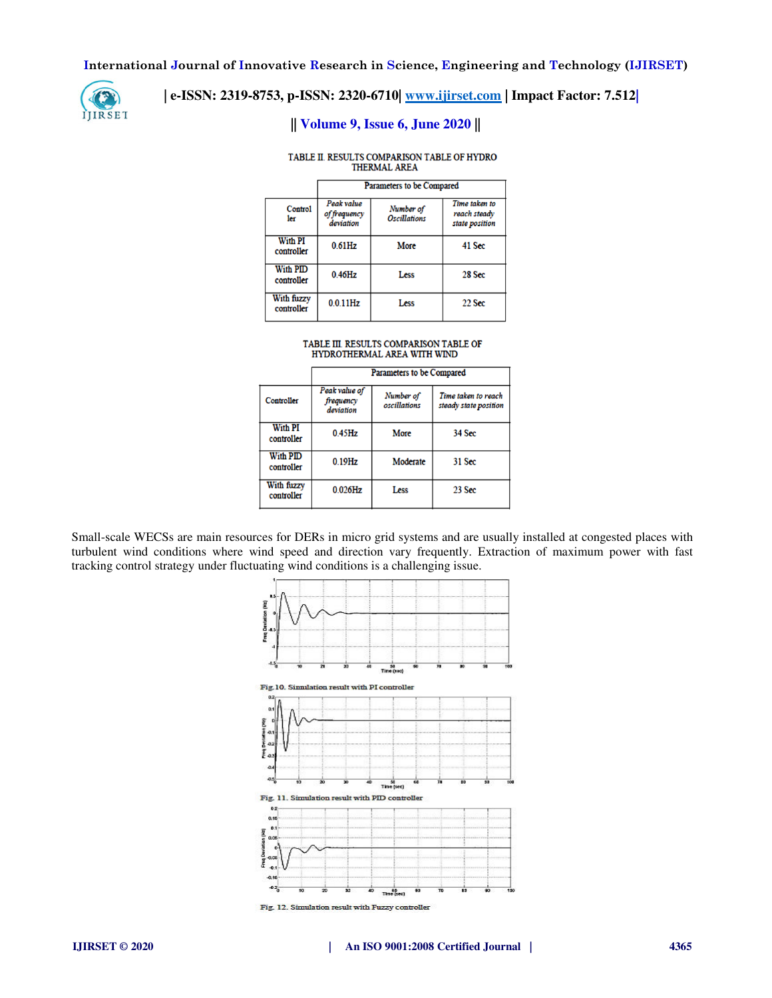

## **| e-ISSN: 2319-8753, p-ISSN: 2320-6710| [www.ijirset.com](http://www.ijirset.com/) | Impact Factor: 7.512|**

# **|| Volume 9, Issue 6, June 2020 ||**

#### TABLE II. RESULTS COMPARISON TABLE OF HYDRO THERMAL AREA

|                               | Parameters to be Compared               |                                         |                                                 |
|-------------------------------|-----------------------------------------|-----------------------------------------|-------------------------------------------------|
| Control<br>ler                | Peak value<br>of frequency<br>deviation | Number of<br><i><b>Oscillations</b></i> | Time taken to<br>reach steady<br>state position |
| <b>With PI</b><br>controller  | $0.61$ Hz                               | More                                    | 41 Sec                                          |
| <b>With PID</b><br>controller | $0.46$ Hz                               | Less                                    | 28 Sec                                          |
| With fuzzy<br>controller      | $0.0.11$ Hz                             | Less                                    | $22$ Sec                                        |

# ${\bf TABLE\ IL\ RESULTS\ COMPARISON\ TABLE\ OF\ HYDROTHERMAL\ ARE\ WITH\ WIND}$

|                               | Parameters to be Compared               |                           |                                              |
|-------------------------------|-----------------------------------------|---------------------------|----------------------------------------------|
| Controller                    | Peak value of<br>frequency<br>deviation | Number of<br>oscillations | Time taken to reach<br>steady state position |
| With PI<br>controller         | $0.45$ Hz                               | More                      | 34 Sec                                       |
| <b>With PID</b><br>controller | $0.19$ Hz                               | Moderate                  | 31 Sec                                       |
| With fuzzy<br>controller      | $0.026$ Hz                              | Less                      | 23 Sec                                       |

Small-scale WECSs are main resources for DERs in micro grid systems and are usually installed at congested places with turbulent wind conditions where wind speed and direction vary frequently. Extraction of maximum power with fast tracking control strategy under fluctuating wind conditions is a challenging issue.

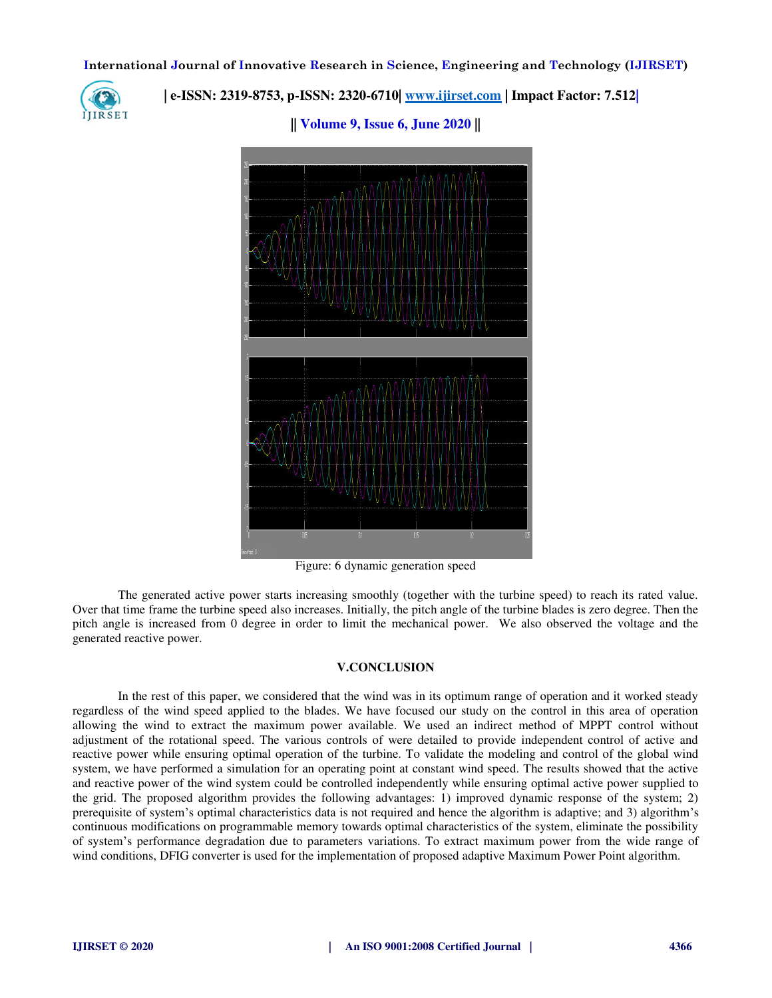

 **| e-ISSN: 2319-8753, p-ISSN: 2320-6710| [www.ijirset.com](http://www.ijirset.com/) | Impact Factor: 7.512|**

**|| Volume 9, Issue 6, June 2020 ||** 

Figure: 6 dynamic generation speed

The generated active power starts increasing smoothly (together with the turbine speed) to reach its rated value. Over that time frame the turbine speed also increases. Initially, the pitch angle of the turbine blades is zero degree. Then the pitch angle is increased from 0 degree in order to limit the mechanical power. We also observed the voltage and the generated reactive power.

#### **V.CONCLUSION**

In the rest of this paper, we considered that the wind was in its optimum range of operation and it worked steady regardless of the wind speed applied to the blades. We have focused our study on the control in this area of operation allowing the wind to extract the maximum power available. We used an indirect method of MPPT control without adjustment of the rotational speed. The various controls of were detailed to provide independent control of active and reactive power while ensuring optimal operation of the turbine. To validate the modeling and control of the global wind system, we have performed a simulation for an operating point at constant wind speed. The results showed that the active and reactive power of the wind system could be controlled independently while ensuring optimal active power supplied to the grid. The proposed algorithm provides the following advantages: 1) improved dynamic response of the system; 2) prerequisite of system's optimal characteristics data is not required and hence the algorithm is adaptive; and 3) algorithm's continuous modifications on programmable memory towards optimal characteristics of the system, eliminate the possibility of system's performance degradation due to parameters variations. To extract maximum power from the wide range of wind conditions, DFIG converter is used for the implementation of proposed adaptive Maximum Power Point algorithm.